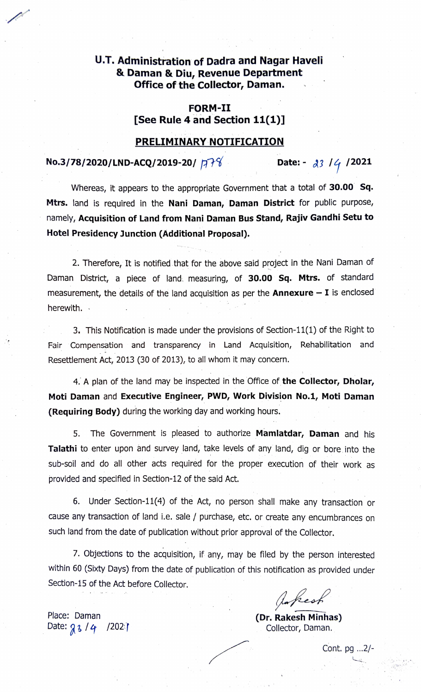# U.T. Administration of Dadra and Nagar Haveli & Daman & Diu, Revenue Department Office of the Collector, Daman.

### FORM-II [See Rule 4 and Section 11(1)]

## PRELIMINARY NOTIFICATION

## No.3/78/2020/LND-ACQ/2019-20/  $\overline{A78}$  Date: -  $\overline{33}$  /  $\overline{4}$  /2021

Whereas, it appears to the appropriate Government that a total of 30.00 Sq. Mtrs. land is required in the Nani Daman, Daman District for public purpose, namely, Acquisition of Land from Nani Daman Bus Stand, Rajiv Gandhi Setu to Hotel Presidency Junction (Additional Proposal).

2. Therefore, It is notified that for the above said project in the Nani Daman of Daman District, a piece of land. measuring, of 30.00 Sq. Mtrs. of standard measurement, the details of the land acquisition as per the Annexure  $- I$  is enclosed herewith.

3. This Notification is made under the provisions of Section-11(1) of the Right to Fair Compensation and transparency in Land Acquisition, Rehabilitation and Resettlement Act, 2013 (30 of 2013), to all whom it may concern.

4. A plan of the land may be inspected in the Office of the Collector, Dholar, Moti Daman and Executive Engineer, PWD, Work Division No.1, Moti Daman (Requiring Body) during the working day and working hours.

5. The Government is pleased to authorize Mamlatdar, Daman and his Talathi to enter upon and survey land, take levels of any land, dig or bore into the sub-soil and do all other acts required for the proper execution of their work as provided and specified in Section-12 of the said Act.

6. Under Section-11(4) of the Act, no person shall make any transaction or cause any transaction of land i.e. sale / purchase, etc. or create any encumbrances on such land from the date of publication without prior approval of the Collector.

7. Objections to the acquisition, if any, may be filed by the person interested within 60 (Sxty Days) from the date of publication of this notification as provided under Section-15 of the Act before Collector.

Askest

Collector, Daman.

Cont. pg ...2/-

Place: Daman Place: Daman (Dr. Rakesh Minhas)<br>Date:  $g_3$  /  $4$  /2021 (Dr. Rakesh Minhas) (Dr. Rakesh Minhas)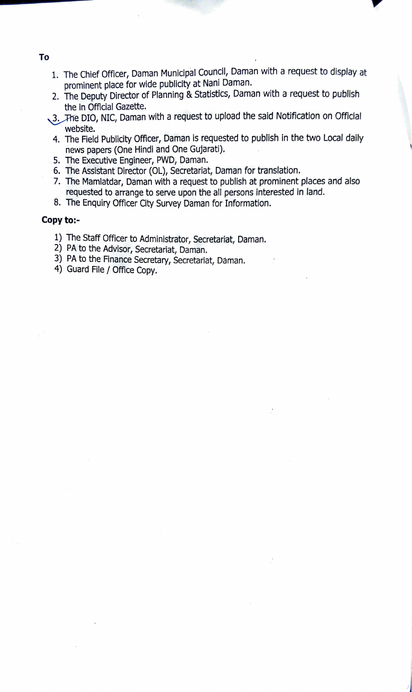- 1. The Chief Officer, Daman Municipal Council, Daman with a request to display at prominent place for wide publicity at Nani Daman.
- 2. The Deputy Director of Planning & Statistics, Daman with a request to publish the in Official Gazette.
- 3. The DIO, NIC, Daman with a request to upload the said Notification on Official website.
- 4. The Field Publicity Officer, Daman is requested to publish in the two Local daily news papers (One Hindi and One Gujarati).
- 5. The Executive Engineer, PWD, Daman.
- 6. The Assistant Director (OL), Secretariat, Daman for translation.
- 7. The Mamlatdar, Daman with a request to publish at prominent places and also requested to arrange to serve upon the all persons interested in land.
- 8. The Enquiry Officer City Survey Daman for Information.

#### Copy to:-

- 1) The Staff Officer to Administrator, Secretariat, Daman.
- 2) PA to the Advisor, Secretariat, Daman.
- 3) PA to the Finance Secretary, Secretariat, Dáman.
- 4) Guard File / Office Copy.

#### To